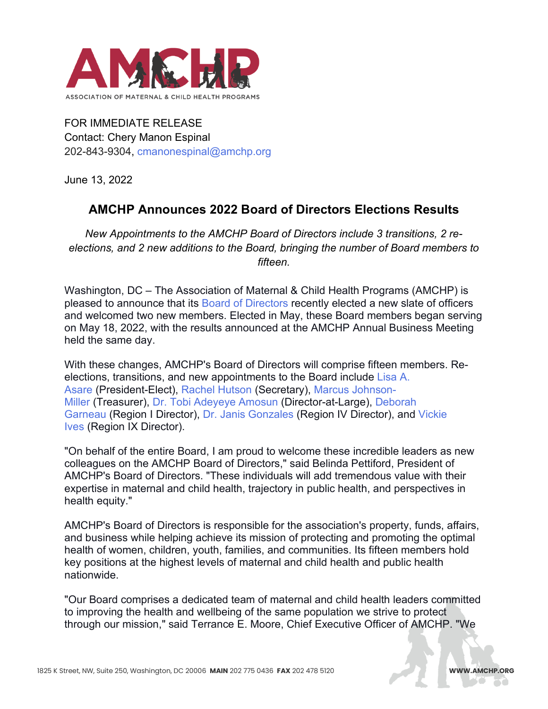

FOR IMMEDIATE RELEASE Contact: Chery Manon Espinal 202-843-9304, [cmanonespinal@amchp.org](mailto:cmanonespinal@amchp.org)

June 13, 2022

## **AMCHP Announces 2022 Board of Directors Elections Results**

*New Appointments to the AMCHP Board of Directors include 3 transitions, 2 reelections, and 2 new additions to the Board, bringing the number of Board members to fifteen.*

Washington, DC – The Association of Maternal & Child Health Programs (AMCHP) is pleased to announce that its [Board of Directors](https://amchp.org/our-board/) recently elected a new slate of officers and welcomed two new members. Elected in May, these Board members began serving on May 18, 2022, with the results announced at the AMCHP Annual Business Meeting held the same day.

With these changes, AMCHP's Board of Directors will comprise fifteen members. Reelections, transitions, and new appointments to the Board include [Lisa A.](https://amchp.org/board_members/lisa-asare-mph/)  [Asare](https://amchp.org/board_members/lisa-asare-mph/) (President-Elect), [Rachel Hutson](https://amchp.org/board_members/rachel-hutson-msn-rn-cpnp/) (Secretary), [Marcus Johnson-](https://amchp.org/board_members/marcus-johnson-miller-cpm/)[Miller](https://amchp.org/board_members/marcus-johnson-miller-cpm/) (Treasurer), [Dr. Tobi Adeyeye Amosun](https://amchp.org/board_members/tobi-adeyeye-amosun-md-faap/) (Director-at-Large), [Deborah](https://amchp.org/board_members/deborah-garneau-ms/)  [Garneau](https://amchp.org/board_members/deborah-garneau-ms/) (Region I Director), [Dr. Janis Gonzales](https://amchp.org/board_members/janis-gonzales/) (Region IV Director), and [Vickie](https://amchp.org/board_members/vickie-ives-ma/)  [Ives](https://amchp.org/board_members/vickie-ives-ma/) (Region IX Director).

"On behalf of the entire Board, I am proud to welcome these incredible leaders as new colleagues on the AMCHP Board of Directors," said Belinda Pettiford, President of AMCHP's Board of Directors. "These individuals will add tremendous value with their expertise in maternal and child health, trajectory in public health, and perspectives in health equity."

AMCHP's Board of Directors is responsible for the association's property, funds, affairs, and business while helping achieve its mission of protecting and promoting the optimal health of women, children, youth, families, and communities. Its fifteen members hold key positions at the highest levels of maternal and child health and public health nationwide.

"Our Board comprises a dedicated team of maternal and child health leaders committed to improving the health and wellbeing of the same population we strive to protect through our mission," said Terrance E. Moore, Chief Executive Officer of AMCHP. "We